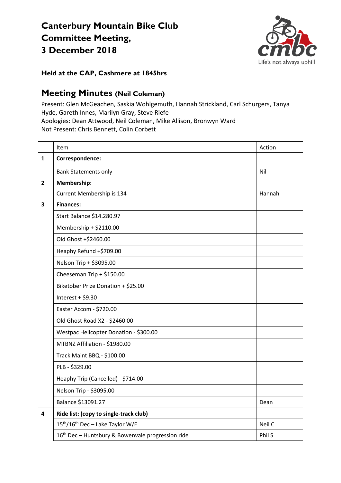## **Canterbury Mountain Bike Club Committee Meeting, 3 December 2018**



**Held at the CAP, Cashmere at 1845hrs**

## **Meeting Minutes (Neil Coleman)**

Present: Glen McGeachen, Saskia Wohlgemuth, Hannah Strickland, Carl Schurgers, Tanya Hyde, Gareth Innes, Marilyn Gray, Steve Riefe Apologies: Dean Attwood, Neil Coleman, Mike Allison, Bronwyn Ward Not Present: Chris Bennett, Colin Corbett

|                         | Item                                                          | Action |
|-------------------------|---------------------------------------------------------------|--------|
| 1                       | Correspondence:                                               |        |
|                         | <b>Bank Statements only</b>                                   | Nil    |
| $\overline{2}$          | Membership:                                                   |        |
|                         | Current Membership is 134                                     | Hannah |
| 3                       | <b>Finances:</b>                                              |        |
|                         | Start Balance \$14.280.97                                     |        |
|                         | Membership + \$2110.00                                        |        |
|                         | Old Ghost +\$2460.00                                          |        |
|                         | Heaphy Refund +\$709.00                                       |        |
|                         | Nelson Trip + \$3095.00                                       |        |
|                         | Cheeseman Trip + \$150.00                                     |        |
|                         | Biketober Prize Donation + \$25.00                            |        |
|                         | Interest + $$9.30$                                            |        |
|                         | Easter Accom - \$720.00                                       |        |
|                         | Old Ghost Road X2 - \$2460.00                                 |        |
|                         | Westpac Helicopter Donation - \$300.00                        |        |
|                         | MTBNZ Affiliation - \$1980.00                                 |        |
|                         | Track Maint BBQ - \$100.00                                    |        |
|                         | PLB - \$329.00                                                |        |
|                         | Heaphy Trip (Cancelled) - \$714.00                            |        |
|                         | Nelson Trip - \$3095.00                                       |        |
|                         | Balance \$13091.27                                            | Dean   |
| $\overline{\mathbf{4}}$ | Ride list: (copy to single-track club)                        |        |
|                         | 15 <sup>th</sup> /16 <sup>th</sup> Dec - Lake Taylor W/E      | Neil C |
|                         | 16 <sup>th</sup> Dec - Huntsbury & Bowenvale progression ride | Phil S |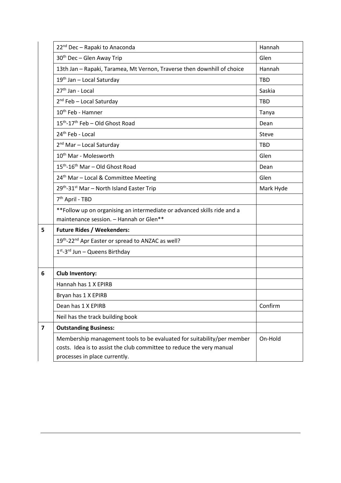|                         | 22 <sup>nd</sup> Dec - Rapaki to Anaconda                                | Hannah     |
|-------------------------|--------------------------------------------------------------------------|------------|
|                         | 30 <sup>th</sup> Dec - Glen Away Trip                                    | Glen       |
|                         | 13th Jan - Rapaki, Taramea, Mt Vernon, Traverse then downhill of choice  | Hannah     |
|                         | 19 <sup>th</sup> Jan - Local Saturday                                    | <b>TBD</b> |
|                         | 27 <sup>th</sup> Jan - Local                                             | Saskia     |
|                         | $2^{nd}$ Feb - Local Saturday                                            | <b>TBD</b> |
|                         | 10 <sup>th</sup> Feb - Hamner                                            | Tanya      |
|                         | 15 <sup>th</sup> -17 <sup>th</sup> Feb - Old Ghost Road                  | Dean       |
|                         | 24 <sup>th</sup> Feb - Local                                             | Steve      |
|                         | 2 <sup>nd</sup> Mar - Local Saturday                                     | <b>TBD</b> |
|                         | 10 <sup>th</sup> Mar - Molesworth                                        | Glen       |
|                         | 15 <sup>th</sup> -16 <sup>th</sup> Mar - Old Ghost Road                  | Dean       |
|                         | 24 <sup>th</sup> Mar - Local & Committee Meeting                         | Glen       |
|                         | 29th-31st Mar - North Island Easter Trip                                 | Mark Hyde  |
|                         | 7 <sup>th</sup> April - TBD                                              |            |
|                         | ** Follow up on organising an intermediate or advanced skills ride and a |            |
|                         | maintenance session. - Hannah or Glen**                                  |            |
| 5                       | <b>Future Rides / Weekenders:</b>                                        |            |
|                         | 19th-22nd Apr Easter or spread to ANZAC as well?                         |            |
|                         | 1st-3rd Jun - Queens Birthday                                            |            |
|                         |                                                                          |            |
| 6                       | <b>Club Inventory:</b>                                                   |            |
|                         | Hannah has 1 X EPIRB                                                     |            |
|                         | Bryan has 1 X EPIRB                                                      |            |
|                         | Dean has 1 X EPIRB                                                       | Confirm    |
|                         | Neil has the track building book                                         |            |
| $\overline{\mathbf{z}}$ | <b>Outstanding Business:</b>                                             |            |
|                         | Membership management tools to be evaluated for suitability/per member   | On-Hold    |
|                         | costs. Idea is to assist the club committee to reduce the very manual    |            |
|                         | processes in place currently.                                            |            |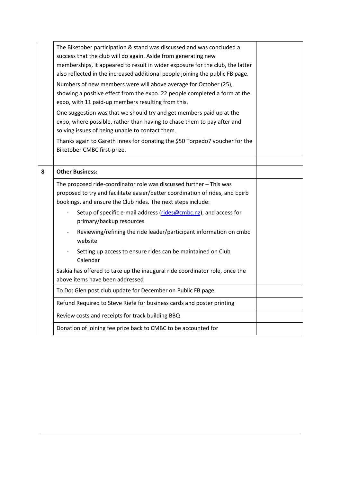|   | The Biketober participation & stand was discussed and was concluded a<br>success that the club will do again. Aside from generating new<br>memberships, it appeared to result in wider exposure for the club, the latter<br>also reflected in the increased additional people joining the public FB page. |  |
|---|-----------------------------------------------------------------------------------------------------------------------------------------------------------------------------------------------------------------------------------------------------------------------------------------------------------|--|
|   | Numbers of new members were will above average for October (25),<br>showing a positive effect from the expo. 22 people completed a form at the<br>expo, with 11 paid-up members resulting from this.                                                                                                      |  |
|   | One suggestion was that we should try and get members paid up at the<br>expo, where possible, rather than having to chase them to pay after and<br>solving issues of being unable to contact them.                                                                                                        |  |
|   | Thanks again to Gareth Innes for donating the \$50 Torpedo7 voucher for the<br>Biketober CMBC first-prize.                                                                                                                                                                                                |  |
|   |                                                                                                                                                                                                                                                                                                           |  |
| 8 | <b>Other Business:</b>                                                                                                                                                                                                                                                                                    |  |
|   | The proposed ride-coordinator role was discussed further - This was<br>proposed to try and facilitate easier/better coordination of rides, and Epirb<br>bookings, and ensure the Club rides. The next steps include:                                                                                      |  |
|   | Setup of specific e-mail address (rides@cmbc.nz), and access for<br>primary/backup resources                                                                                                                                                                                                              |  |
|   | Reviewing/refining the ride leader/participant information on cmbc<br>$\overline{\phantom{a}}$<br>website                                                                                                                                                                                                 |  |
|   | Setting up access to ensure rides can be maintained on Club<br>Calendar                                                                                                                                                                                                                                   |  |
|   | Saskia has offered to take up the inaugural ride coordinator role, once the<br>above items have been addressed                                                                                                                                                                                            |  |
|   | To Do: Glen post club update for December on Public FB page                                                                                                                                                                                                                                               |  |
|   | Refund Required to Steve Riefe for business cards and poster printing                                                                                                                                                                                                                                     |  |
|   | Review costs and receipts for track building BBQ                                                                                                                                                                                                                                                          |  |
|   | Donation of joining fee prize back to CMBC to be accounted for                                                                                                                                                                                                                                            |  |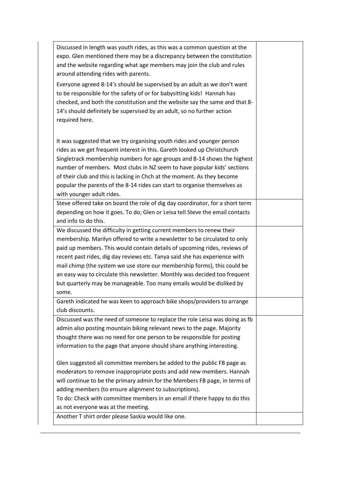| Discussed in length was youth rides, as this was a common question at the     |  |
|-------------------------------------------------------------------------------|--|
| expo. Glen mentioned there may be a discrepancy between the constitution      |  |
| and the website regarding what age members may join the club and rules        |  |
| around attending rides with parents.                                          |  |
| Everyone agreed 8-14's should be supervised by an adult as we don't want      |  |
| to be responsible for the safety of or for babysitting kids! Hannah has       |  |
| checked, and both the constitution and the website say the same and that 8-   |  |
| 14's should definitely be supervised by an adult, so no further action        |  |
| required here.                                                                |  |
|                                                                               |  |
| It was suggested that we try organising youth rides and younger person        |  |
| rides as we get frequent interest in this. Gareth looked up Christchurch      |  |
| Singletrack membership numbers for age groups and 8-14 shows the highest      |  |
| number of members. Most clubs in NZ seem to have popular kids' sections       |  |
| of their club and this is lacking in Chch at the moment. As they become       |  |
| popular the parents of the 8-14 rides can start to organise themselves as     |  |
| with younger adult rides.                                                     |  |
| Steve offered take on board the role of dig day coordinator, for a short term |  |
| depending on how it goes. To do; Glen or Leisa tell Steve the email contacts  |  |
| and info to do this.                                                          |  |
| We discussed the difficulty in getting current members to renew their         |  |
| membership. Marilyn offered to write a newsletter to be circulated to only    |  |
| paid up members. This would contain details of upcoming rides, reviews of     |  |
| recent past rides, dig day reviews etc. Tanya said she has experience with    |  |
| mail chimp (the system we use store our membership forms), this could be      |  |
| an easy way to circulate this newsletter. Monthly was decided too frequent    |  |
| but quarterly may be manageable. Too many emails would be disliked by         |  |
| some.                                                                         |  |
| Gareth indicated he was keen to approach bike shops/providers to arrange      |  |
| club discounts.                                                               |  |
| Discussed was the need of someone to replace the role Leisa was doing as fb   |  |
| admin also posting mountain biking relevant news to the page. Majority        |  |
| thought there was no need for one person to be responsible for posting        |  |
| information to the page that anyone should share anything interesting.        |  |
|                                                                               |  |
| Glen suggested all committee members be added to the public FB page as        |  |
| moderators to remove inappropriate posts and add new members. Hannah          |  |
| will continue to be the primary admin for the Members FB page, in terms of    |  |
| adding members (to ensure alignment to subscriptions).                        |  |
| To do: Check with committee members in an email if there happy to do this     |  |
| as not everyone was at the meeting.                                           |  |
| Another T shirt order please Saskia would like one.                           |  |